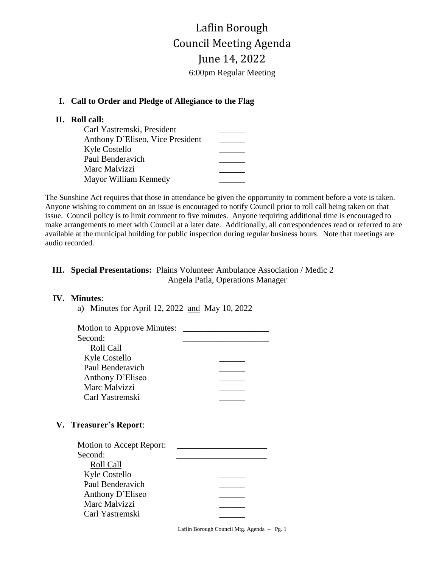Laflin Borough Council Meeting Agenda June 14, 2022 6:00pm Regular Meeting

### **I. Call to Order and Pledge of Allegiance to the Flag**

## **II. Roll call:**

| Carl Yastremski, President       |  |
|----------------------------------|--|
| Anthony D'Eliseo, Vice President |  |
| Kyle Costello                    |  |
| Paul Benderavich                 |  |
| Marc Malvizzi                    |  |
| Mayor William Kennedy            |  |

The Sunshine Act requires that those in attendance be given the opportunity to comment before a vote is taken. Anyone wishing to comment on an issue is encouraged to notify Council prior to roll call being taken on that issue. Council policy is to limit comment to five minutes. Anyone requiring additional time is encouraged to make arrangements to meet with Council at a later date. Additionally, all correspondences read or referred to are available at the municipal building for public inspection during regular business hours. Note that meetings are audio recorded.

## **III. Special Presentations:** Plains Volunteer Ambulance Association / Medic 2 Angela Patla, Operations Manager

#### **IV. Minutes**:

a) Minutes for April 12, 2022 and May 10, 2022

### **V. Treasurer's Report**:

| Motion to Accept Report: |  |
|--------------------------|--|
| Second:                  |  |
| Roll Call                |  |
| <b>Kyle Costello</b>     |  |
| Paul Benderavich         |  |
| Anthony D'Eliseo         |  |
| Marc Malvizzi            |  |
| Carl Yastremski          |  |
|                          |  |

Laflin Borough Council Mtg. Agenda – Pg. 1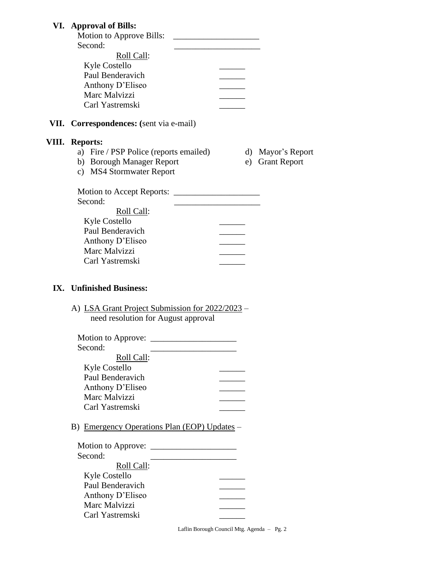# **VI. Approval of Bills:**

| Motion to Approve Bills: |  |
|--------------------------|--|
| Second:                  |  |
| Roll Call:               |  |
| Kyle Costello            |  |
| Paul Benderavich         |  |
| Anthony D'Eliseo         |  |
| Marc Malvizzi            |  |
| Carl Yastremski          |  |
|                          |  |

# **VII. Correspondences: (**sent via e-mail)

### **VIII. Reports:**

- a) Fire / PSP Police (reports emailed) d) Mayor's Report
- b) Borough Manager Report e) Grant Report
- -

c) MS4 Stormwater Report

| <b>Motion to Accept Reports:</b> |  |
|----------------------------------|--|
| Second:                          |  |
| Roll Call:                       |  |
| Kyle Costello                    |  |
| Paul Benderavich                 |  |
| Anthony D'Eliseo                 |  |
| Marc Malvizzi                    |  |
| Carl Yastremski                  |  |
|                                  |  |

### **IX. Unfinished Business:**

| A) LSA Grant Project Submission for 2022/2023 - |
|-------------------------------------------------|
| need resolution for August approval             |

| Motion to Approve: _ |  |
|----------------------|--|
| Second:              |  |
| Roll Call:           |  |
| Kyle Costello        |  |
| Paul Benderavich     |  |
| Anthony D'Eliseo     |  |
| Marc Malvizzi        |  |
| Carl Yastremski      |  |

B) Emergency Operations Plan (EOP) Updates –

| Motion to Approve: |  |
|--------------------|--|
| Second:            |  |
| Roll Call:         |  |
| Kyle Costello      |  |
| Paul Benderavich   |  |
| Anthony D'Eliseo   |  |
| Marc Malvizzi      |  |
| Carl Yastremski    |  |
|                    |  |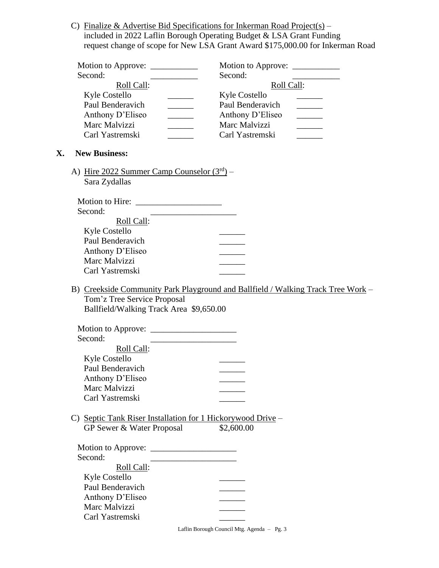C) Finalize & Advertise Bid Specifications for Inkerman Road Project(s) – included in 2022 Laflin Borough Operating Budget & LSA Grant Funding request change of scope for New LSA Grant Award \$175,000.00 for Inkerman Road

| Motion to Approve: _____ | Motion to Approve:   |
|--------------------------|----------------------|
| Second:                  | Second:              |
| Roll Call:               | Roll Call:           |
| <b>Kyle Costello</b>     | <b>Kyle Costello</b> |
| Paul Benderavich         | Paul Benderavich     |
| Anthony D'Eliseo         | Anthony D'Eliseo     |
| Marc Malvizzi            | Marc Malvizzi        |
| Carl Yastremski          | Carl Yastremski      |

#### **X. New Business:**

A) Hire 2022 Summer Camp Counselor  $(3<sup>rd</sup>)$  – Sara Zydallas

| <b>Motion to Hire:</b> |  |
|------------------------|--|
| Second:                |  |
| Roll Call:             |  |
| Kyle Costello          |  |
| Paul Benderavich       |  |
| Anthony D'Eliseo       |  |
| Marc Malvizzi          |  |
| Carl Yastremski        |  |

B) Creekside Community Park Playground and Ballfield / Walking Track Tree Work – Tom'z Tree Service Proposal Ballfield/Walking Track Area \$9,650.00

Motion to Approve: \_\_\_\_\_\_\_\_\_\_\_\_\_\_\_\_\_\_\_\_ Second: Roll Call:  $V$ yle Costello

| <b>NVIE COSIEIIO</b> |  |
|----------------------|--|
| Paul Benderavich     |  |
| Anthony D'Eliseo     |  |
| Marc Malvizzi        |  |
| Carl Yastremski      |  |

 C) Septic Tank Riser Installation for 1 Hickorywood Drive – GP Sewer & Water Proposal \$2,600.00

| Motion to Approve: |  |
|--------------------|--|
| Second:            |  |
| Roll Call:         |  |
| Kyle Costello      |  |
| Paul Benderavich   |  |
| Anthony D'Eliseo   |  |
| Marc Malvizzi      |  |
| Carl Yastremski    |  |

Laflin Borough Council Mtg. Agenda – Pg. 3